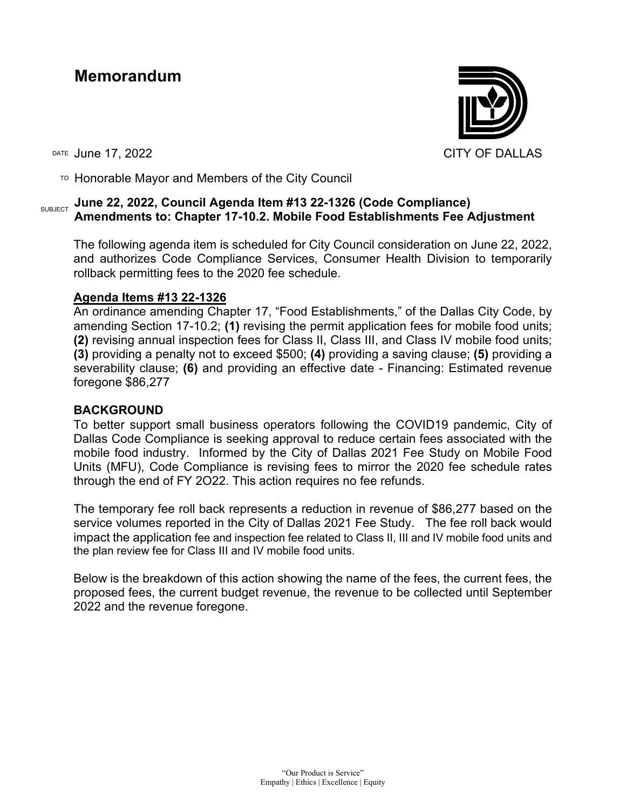# **Memorandum**



 $T$ <sup>O</sup> Honorable Mayor and Members of the City Council

#### SUBJECT **June 22, 2022, Council Agenda Item #13 22-1326 (Code Compliance) Amendments to: Chapter 17-10.2. Mobile Food Establishments Fee Adjustment**

The following agenda item is scheduled for City Council consideration on June 22, 2022, and authorizes Code Compliance Services, Consumer Health Division to temporarily rollback permitting fees to the 2020 fee schedule.

#### **Agenda Items #13 22-1326**

An ordinance amending Chapter 17, "Food Establishments," of the Dallas City Code, by amending Section 17-10.2; **(1)** revising the permit application fees for mobile food units; **(2)** revising annual inspection fees for Class II, Class III, and Class IV mobile food units; **(3)** providing a penalty not to exceed \$500; **(4)** providing a saving clause; **(5)** providing a severability clause; **(6)** and providing an effective date - Financing: Estimated revenue foregone \$86,277

## **BACKGROUND**

To better support small business operators following the COVID19 pandemic, City of Dallas Code Compliance is seeking approval to reduce certain fees associated with the mobile food industry. Informed by the City of Dallas 2021 Fee Study on Mobile Food Units (MFU), Code Compliance is revising fees to mirror the 2020 fee schedule rates through the end of FY 2O22. This action requires no fee refunds.

The temporary fee roll back represents a reduction in revenue of \$86,277 based on the service volumes reported in the City of Dallas 2021 Fee Study. The fee roll back would impact the application fee and inspection fee related to Class II, III and IV mobile food units and the plan review fee for Class III and IV mobile food units.

Below is the breakdown of this action showing the name of the fees, the current fees, the proposed fees, the current budget revenue, the revenue to be collected until September 2022 and the revenue foregone.